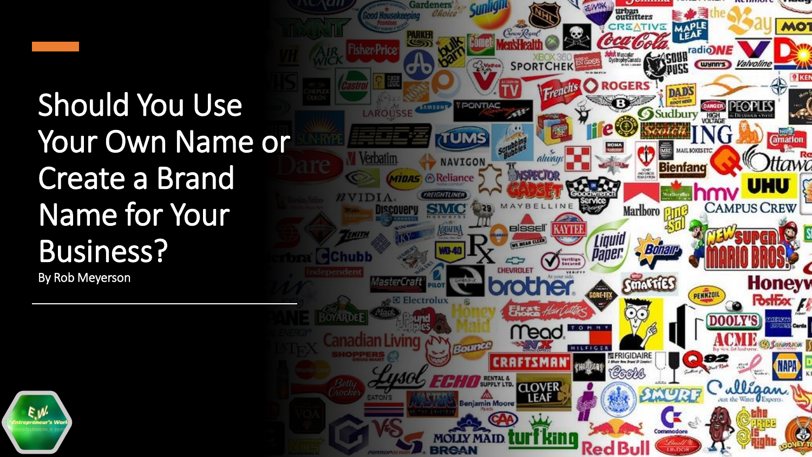### Should You Use Your Own Name or Create a Brand Name for Your Business?

By Rob Meyerson



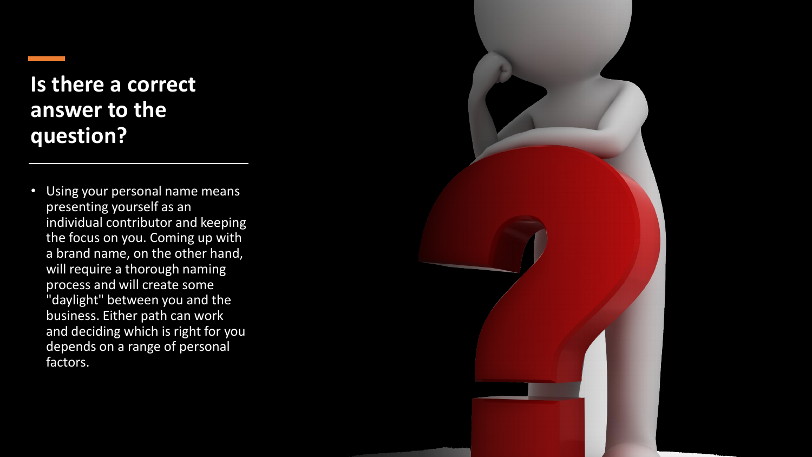#### **Is there a correct answer to the question?**

Using your personal name means presenting yourself as an individual contributor and keeping the focus on you. Coming up with a brand name, on the other hand, will require a thorough naming process and will create some "daylight" between you and the business. Either path can work and deciding which is right for you depends on a range of personal factors.

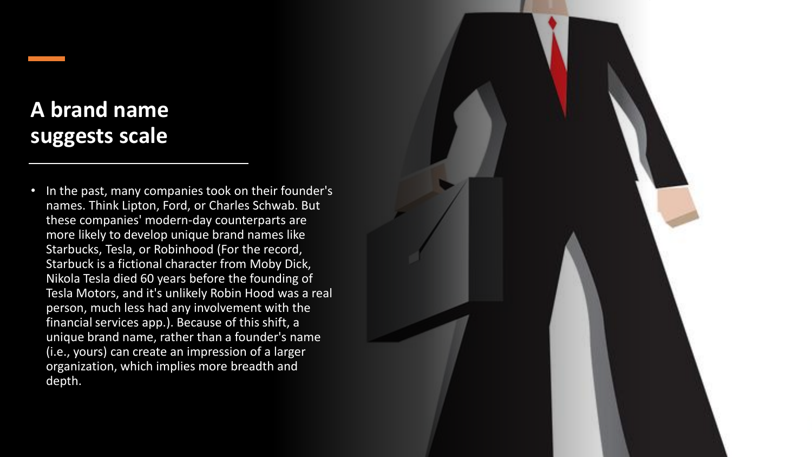#### **A brand name suggests scale**

• In the past, many companies took on their founder's names. Think Lipton, Ford, or Charles Schwab. But these companies' modern-day counterparts are more likely to develop unique brand names like Starbucks, Tesla, or Robinhood (For the record, Starbuck is a fictional character from Moby Dick, Nikola Tesla died 60 years before the founding of Tesla Motors, and it's unlikely Robin Hood was a real person, much less had any involvement with the financial services app.). Because of this shift, a unique brand name, rather than a founder's name (i.e., yours) can create an impression of a larger organization, which implies more breadth and depth.

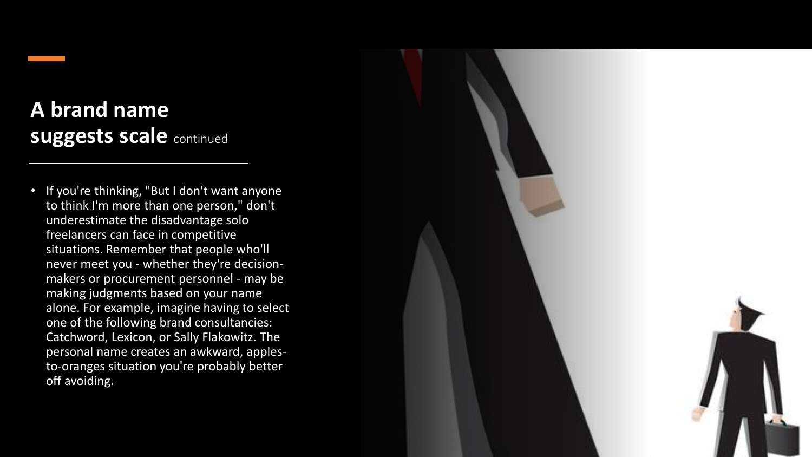#### **A brand name suggests scale continued**

• If you're thinking, "But I don't want anyone to think I'm more than one person," don't underestimate the disadvantage solo freelancers can face in competitive situations. Remember that people who'll never meet you - whether they're decisionmakers or procurement personnel - may be making judgments based on your name alone. For example, imagine having to select one of the following brand consultancies: Catchword, Lexicon, or Sally Flakowitz. The personal name creates an awkward, applesto-oranges situation you're probably better off avoiding.

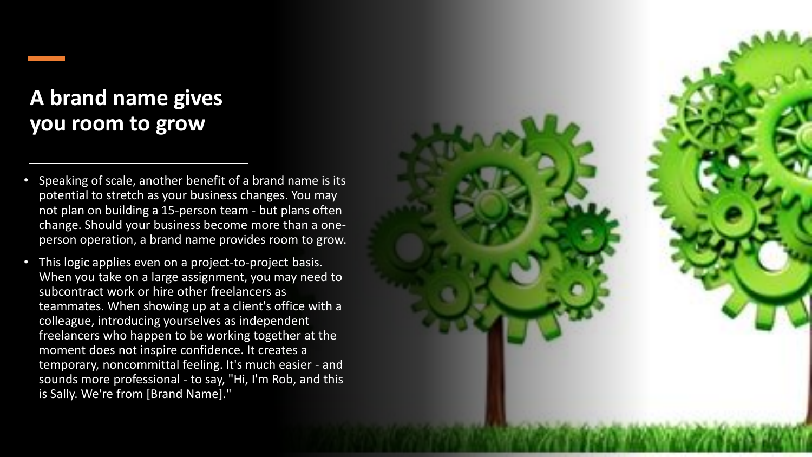#### **A brand name gives you room to grow**

- Speaking of scale, another benefit of a brand name is its potential to stretch as your business changes. You may not plan on building a 15-person team - but plans often change. Should your business become more than a oneperson operation, a brand name provides room to grow.
- This logic applies even on a project-to-project basis. When you take on a large assignment, you may need to subcontract work or hire other freelancers as teammates. When showing up at a client's office with a colleague, introducing yourselves as independent freelancers who happen to be working together at the moment does not inspire confidence. It creates a temporary, noncommittal feeling. It's much easier - and sounds more professional - to say, "Hi, I'm Rob, and this is Sally. We're from [Brand Name]."

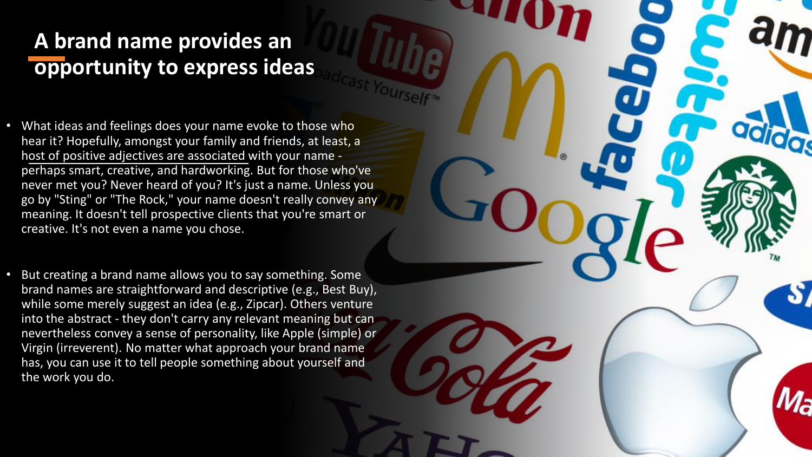#### **A brand name provides an opportunity to express ideas**

- What ideas and feelings does your name evoke to those who hear it? Hopefully, amongst your family and friends, at least, a host of positive adjectives are associated with your name perhaps smart, creative, and hardworking. But for those who've never met you? Never heard of you? It's just a name. Unless you go by "Sting" or "The Rock," your name doesn't really convey any meaning. It doesn't tell prospective clients that you're smart or creative. It's not even a name you chose.
- But creating a brand name allows you to say something. Some brand names are straightforward and descriptive (e.g., Best Buy), while some merely suggest an idea (e.g., Zipcar). Others venture into the abstract - they don't carry any relevant meaning but can nevertheless convey a sense of personality, like Apple (simple) or Virgin (irreverent). No matter what approach your brand name has, you can use it to tell people something about yourself and the work you do.

16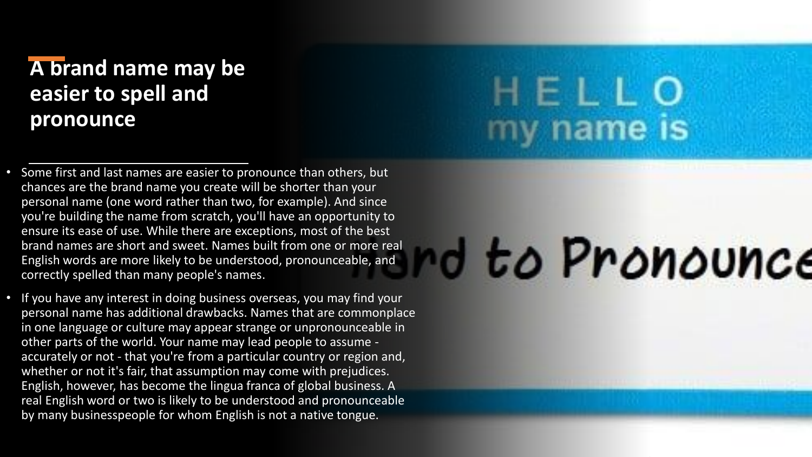#### **A brand name may be easier to spell and pronounce**

- Some first and last names are easier to pronounce than others, but chances are the brand name you create will be shorter than your personal name (one word rather than two, for example). And since you're building the name from scratch, you'll have an opportunity to ensure its ease of use. While there are exceptions, most of the best brand names are short and sweet. Names built from one or more real English words are more likely to be understood, pronounceable, and correctly spelled than many people's names.
- If you have any interest in doing business overseas, you may find your personal name has additional drawbacks. Names that are commonplace in one language or culture may appear strange or unpronounceable in other parts of the world. Your name may lead people to assume accurately or not - that you're from a particular country or region and, whether or not it's fair, that assumption may come with prejudices. English, however, has become the lingua franca of global business. A real English word or two is likely to be understood and pronounceable by many businesspeople for whom English is not a native tongue.

## HELLO y name is

# d to Pronounce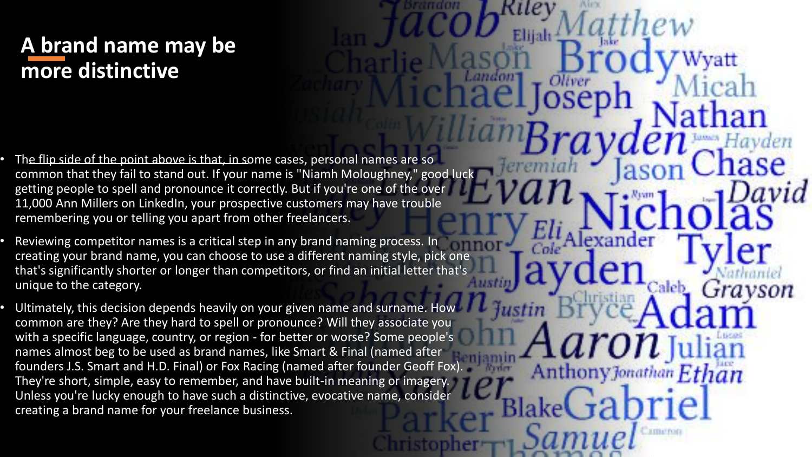#### **A brand name may be more distinctive**

- The flip side of the point above is that, in some cases, personal names are so common that they fail to stand out. If your name is "Niamh Moloughney," good luck getting people to spell and pronounce it correctly. But if you're one of the over 11,000 Ann Millers on LinkedIn, your prospective customers may have trouble remembering you or telling you apart from other freelancers.
- Reviewing competitor names is a critical step in any brand naming process. In creating your brand name, you can choose to use a different naming style, pick one that's significantly shorter or longer than competitors, or find an initial letter that's unique to the category.
- Ultimately, this decision depends heavily on your given name and surname. How common are they? Are they hard to spell or pronounce? Will they associate you with a specific language, country, or region - for better or worse? Some people's names almost beg to be used as brand names, like Smart & Final (named after founders J.S. Smart and H.D. Final) or Fox Racing (named after founder Geoff Fox). They're short, simple, easy to remember, and have built-in meaning or imagery. Unless you're lucky enough to have such a distinctive, evocative name, consider creating a brand name for your freelance business.

Ethan